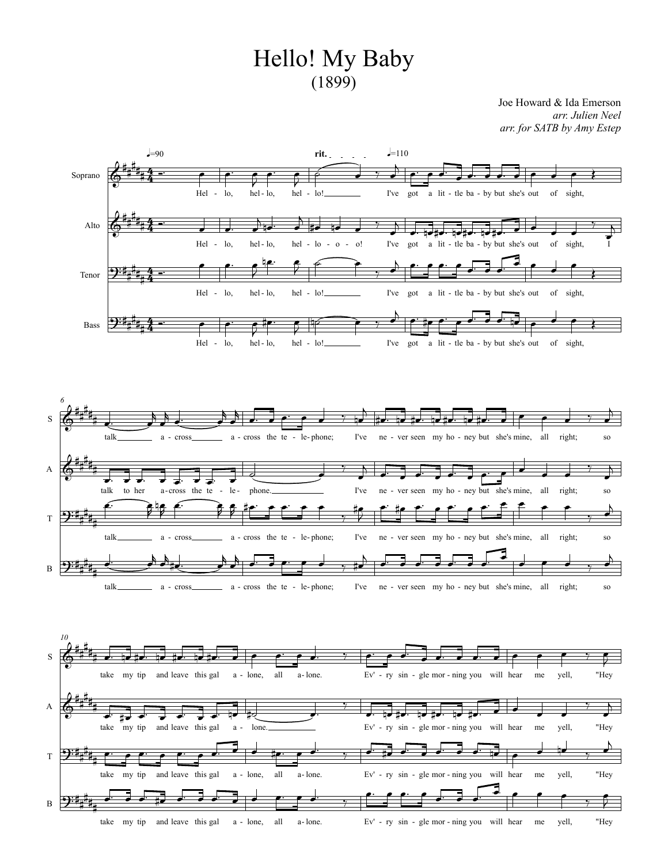## Hello! My Baby  $(1899)$

Joe Howard & Ida Emerson *arr. Julien Neel arr. for SATB byAmy Estep*

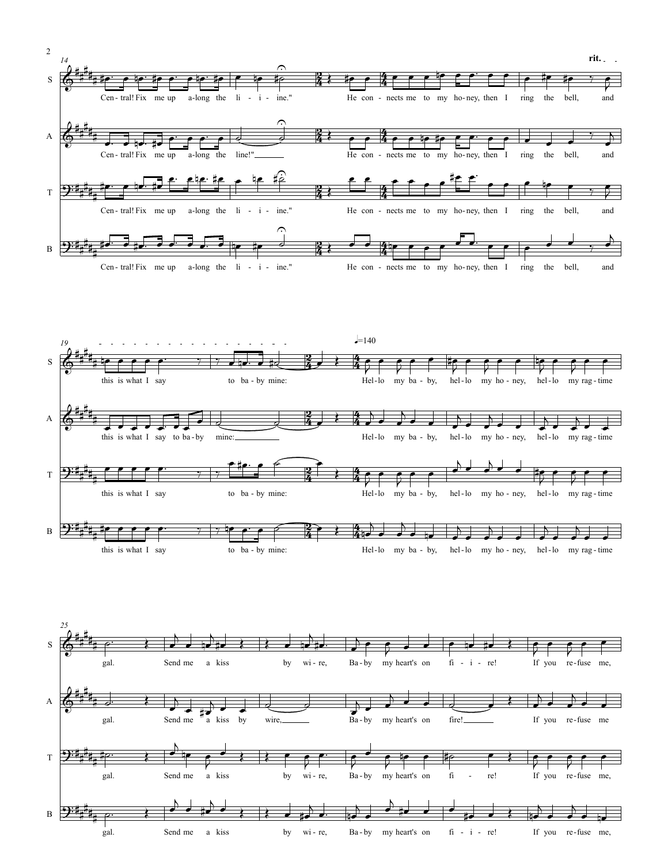